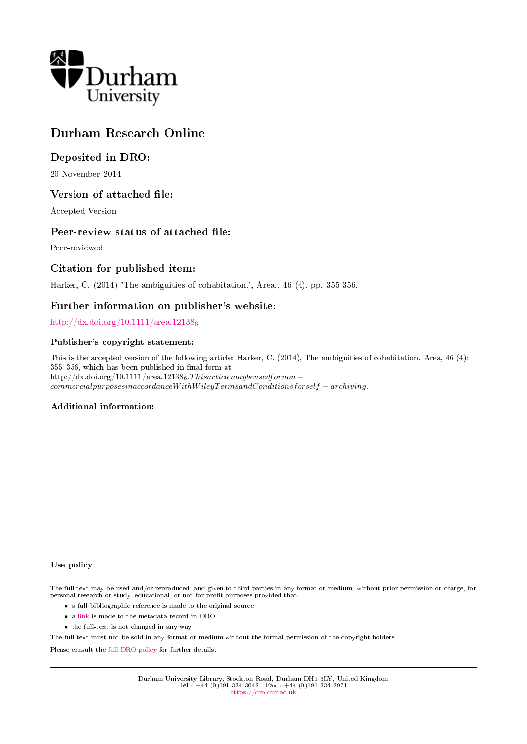

# Durham Research Online

# Deposited in DRO:

20 November 2014

# Version of attached file:

Accepted Version

# Peer-review status of attached file:

Peer-reviewed

# Citation for published item:

Harker, C. (2014) 'The ambiguities of cohabitation.', Area., 46 (4). pp. 355-356.

## Further information on publisher's website:

[http://dx.doi.org/10.1111/area.12138](http://dx.doi.org/10.1111/area.12138_6)6

## Publisher's copyright statement:

This is the accepted version of the following article: Harker, C. (2014), The ambiguities of cohabitation. Area, 46 (4): 355-356, which has been published in final form at http://dx.doi.org/10.1111/area.121386.Thisarticlemaybeusedfornon –  $commercial purposes in accordance With Wiley Terms and Conditions for self-archiving.$ 

#### Additional information:

Use policy

The full-text may be used and/or reproduced, and given to third parties in any format or medium, without prior permission or charge, for personal research or study, educational, or not-for-profit purposes provided that:

- a full bibliographic reference is made to the original source
- a [link](http://dro.dur.ac.uk/13860/) is made to the metadata record in DRO
- the full-text is not changed in any way

The full-text must not be sold in any format or medium without the formal permission of the copyright holders.

Please consult the [full DRO policy](https://dro.dur.ac.uk/policies/usepolicy.pdf) for further details.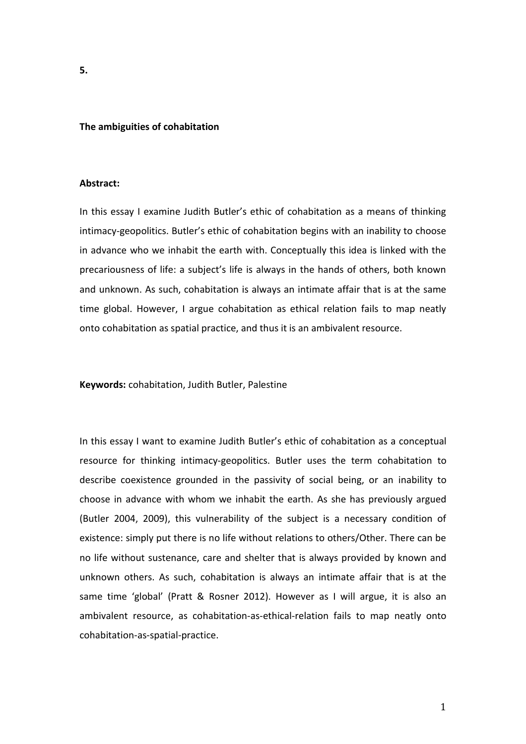#### **The ambiguities of cohabitation**

#### **Abstract:**

In this essay I examine Judith Butler's ethic of cohabitation as a means of thinking intimacy-geopolitics. Butler's ethic of cohabitation begins with an inability to choose in advance who we inhabit the earth with. Conceptually this idea is linked with the precariousness of life: a subject's life is always in the hands of others, both known and unknown. As such, cohabitation is always an intimate affair that is at the same time global. However, I argue cohabitation as ethical relation fails to map neatly onto cohabitation as spatial practice, and thus it is an ambivalent resource.

**Keywords:** cohabitation, Judith Butler, Palestine

In this essay I want to examine Judith Butler's ethic of cohabitation as a conceptual resource for thinking intimacy-geopolitics. Butler uses the term cohabitation to describe coexistence grounded in the passivity of social being, or an inability to choose in advance with whom we inhabit the earth. As she has previously argued (Butler 2004, 2009), this vulnerability of the subject is a necessary condition of existence: simply put there is no life without relations to others/Other. There can be no life without sustenance, care and shelter that is always provided by known and unknown others. As such, cohabitation is always an intimate affair that is at the same time 'global' (Pratt & Rosner 2012). However as I will argue, it is also an ambivalent resource, as cohabitation-as-ethical-relation fails to map neatly onto cohabitation-as-spatial-practice.

**5.**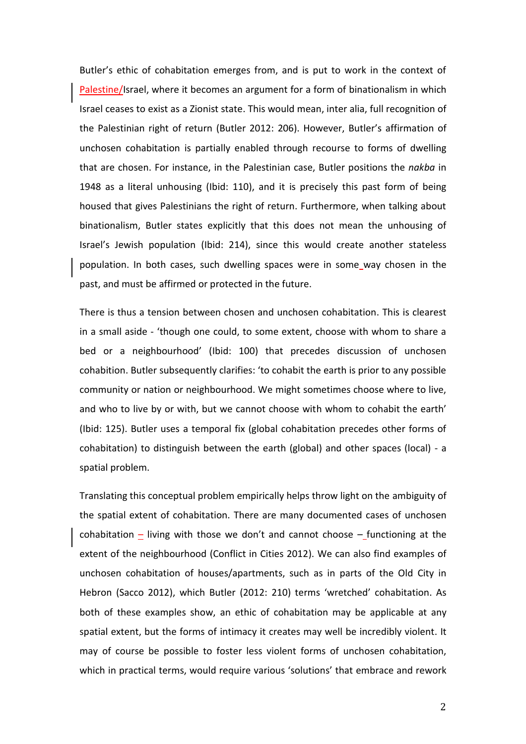Butler's ethic of cohabitation emerges from, and is put to work in the context of Palestine/Israel, where it becomes an argument for a form of binationalism in which Israel ceases to exist as a Zionist state. This would mean, inter alia, full recognition of the Palestinian right of return (Butler 2012: 206). However, Butler's affirmation of unchosen cohabitation is partially enabled through recourse to forms of dwelling that are chosen. For instance, in the Palestinian case, Butler positions the *nakba* in 1948 as a literal unhousing (Ibid: 110), and it is precisely this past form of being housed that gives Palestinians the right of return. Furthermore, when talking about binationalism, Butler states explicitly that this does not mean the unhousing of Israel's Jewish population (Ibid: 214), since this would create another stateless population. In both cases, such dwelling spaces were in some\_way chosen in the past, and must be affirmed or protected in the future.

There is thus a tension between chosen and unchosen cohabitation. This is clearest in a small aside - 'though one could, to some extent, choose with whom to share a bed or a neighbourhood' (Ibid: 100) that precedes discussion of unchosen cohabition. Butler subsequently clarifies: 'to cohabit the earth is prior to any possible community or nation or neighbourhood. We might sometimes choose where to live, and who to live by or with, but we cannot choose with whom to cohabit the earth' (Ibid: 125). Butler uses a temporal fix (global cohabitation precedes other forms of cohabitation) to distinguish between the earth (global) and other spaces (local) - a spatial problem.

Translating this conceptual problem empirically helps throw light on the ambiguity of the spatial extent of cohabitation. There are many documented cases of unchosen cohabitation  $-$  living with those we don't and cannot choose  $-$  functioning at the extent of the neighbourhood (Conflict in Cities 2012). We can also find examples of unchosen cohabitation of houses/apartments, such as in parts of the Old City in Hebron (Sacco 2012), which Butler (2012: 210) terms 'wretched' cohabitation. As both of these examples show, an ethic of cohabitation may be applicable at any spatial extent, but the forms of intimacy it creates may well be incredibly violent. It may of course be possible to foster less violent forms of unchosen cohabitation, which in practical terms, would require various 'solutions' that embrace and rework

2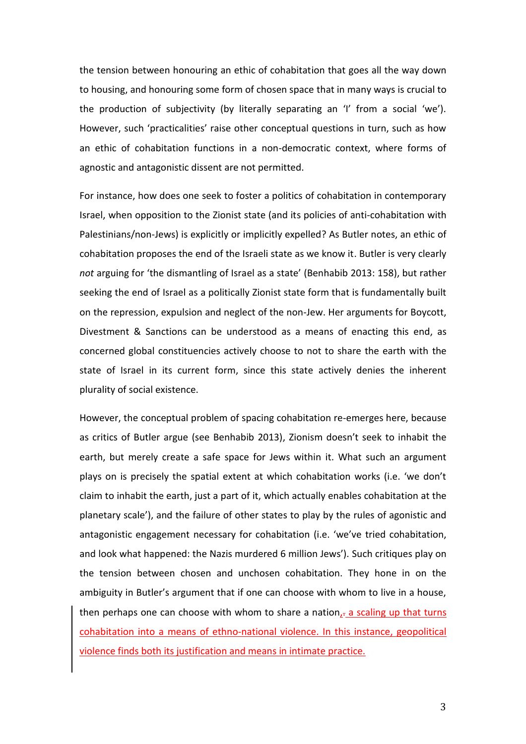the tension between honouring an ethic of cohabitation that goes all the way down to housing, and honouring some form of chosen space that in many ways is crucial to the production of subjectivity (by literally separating an 'I' from a social 'we'). However, such 'practicalities' raise other conceptual questions in turn, such as how an ethic of cohabitation functions in a non-democratic context, where forms of agnostic and antagonistic dissent are not permitted.

For instance, how does one seek to foster a politics of cohabitation in contemporary Israel, when opposition to the Zionist state (and its policies of anti-cohabitation with Palestinians/non-Jews) is explicitly or implicitly expelled? As Butler notes, an ethic of cohabitation proposes the end of the Israeli state as we know it. Butler is very clearly *not* arguing for 'the dismantling of Israel as a state' (Benhabib 2013: 158), but rather seeking the end of Israel as a politically Zionist state form that is fundamentally built on the repression, expulsion and neglect of the non-Jew. Her arguments for Boycott, Divestment & Sanctions can be understood as a means of enacting this end, as concerned global constituencies actively choose to not to share the earth with the state of Israel in its current form, since this state actively denies the inherent plurality of social existence.

However, the conceptual problem of spacing cohabitation re-emerges here, because as critics of Butler argue (see Benhabib 2013), Zionism doesn't seek to inhabit the earth, but merely create a safe space for Jews within it. What such an argument plays on is precisely the spatial extent at which cohabitation works (i.e. 'we don't claim to inhabit the earth, just a part of it, which actually enables cohabitation at the planetary scale'), and the failure of other states to play by the rules of agonistic and antagonistic engagement necessary for cohabitation (i.e. 'we've tried cohabitation, and look what happened: the Nazis murdered 6 million Jews'). Such critiques play on the tension between chosen and unchosen cohabitation. They hone in on the ambiguity in Butler's argument that if one can choose with whom to live in a house, then perhaps one can choose with whom to share a nation<sub> $r$ </sub> a scaling up that turns cohabitation into a means of ethno-national violence. In this instance, geopolitical violence finds both its justification and means in intimate practice.